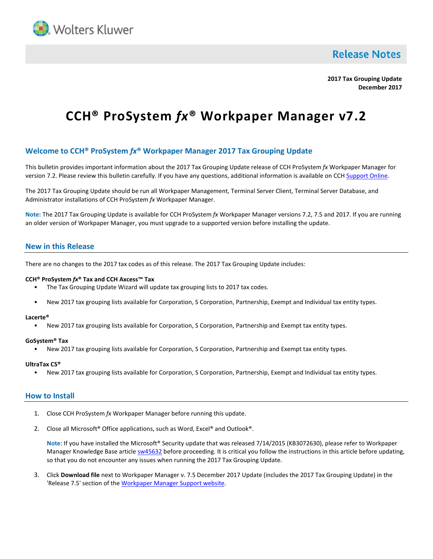

**Release Notes** 

**2017 Tax Grouping Update December 2017**

# **CCH® ProSystem** *fx***® Workpaper Manager v7.2**

# **Welcome to CCH® ProSystem** *fx***® Workpaper Manager 2017 Tax Grouping Update**

This bulletin provides important information about the 2017 Tax Grouping Update release of CCH ProSystem *fx* Workpaper Manager for version 7.2. Please review this bulletin carefully. If you have any questions, additional information is available on CCH [Support Online.](http://support.cch.com/productsupport/)

The 2017 Tax Grouping Update should be run all Workpaper Management, Terminal Server Client, Terminal Server Database, and Administrator installations of CCH ProSystem *fx* Workpaper Manager.

**Note:** The 2017 Tax Grouping Update is available for CCH ProSystem *fx* Workpaper Manager versions 7.2, 7.5 and 2017. If you are running an older version of Workpaper Manager, you must upgrade to a supported version before installing the update.

# **New in this Release**

There are no changes to the 2017 tax codes as of this release. The 2017 Tax Grouping Update includes:

## **CCH® ProSystem** *fx***® Tax and CCH Axcess™ Tax**

- The Tax Grouping Update Wizard will update tax grouping lists to 2017 tax codes.
- New 2017 tax grouping lists available for Corporation, S Corporation, Partnership, Exempt and Individual tax entity types.

#### **Lacerte®**

• New 2017 tax grouping lists available for Corporation, S Corporation, Partnership and Exempt tax entity types.

#### **GoSystem® Tax**

• New 2017 tax grouping lists available for Corporation, S Corporation, Partnership and Exempt tax entity types.

### **UltraTax CS®**

• New 2017 tax grouping lists available for Corporation, S Corporation, Partnership, Exempt and Individual tax entity types.

## **How to Install**

- 1. Close CCH ProSystem *fx* Workpaper Manager before running this update.
- 2. Close all Microsoft<sup>®</sup> Office applications, such as Word, Excel<sup>®</sup> and Outlook<sup>®</sup>.

**Note**: If you have installed the Microsoft® Security update that was released 7/14/2015 (KB3072630), please refer to Workpaper Manager Knowledge Base articl[e sw45632](https://support.cch.com/kb/solution.aspx/sw45632) before proceeding. It is critical you follow the instructions in this article before updating, so that you do not encounter any issues when running the 2017 Tax Grouping Update.

3. Click **Download file** next to Workpaper Manager v. 7.5 December 2017 Update (includes the 2017 Tax Grouping Update) in the 'Release 7.5' section of th[e Workpaper Manager](https://support.cch.com/updates/workpapermanager/default.aspx) Support website.